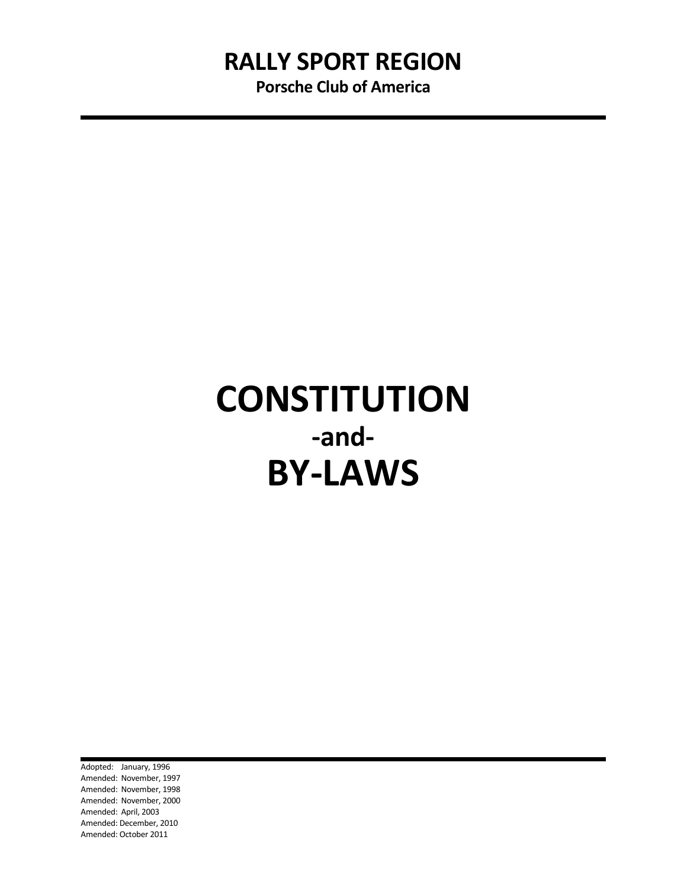Porsche Club of America

# **CONSTITUTION** -and-BY-LAWS

Adopted: January, 1996 Amended: November, 1997 Amended: November, 1998 Amended: November, 2000 Amended: April, 2003 Amended: December, 2010 Amended: October 2011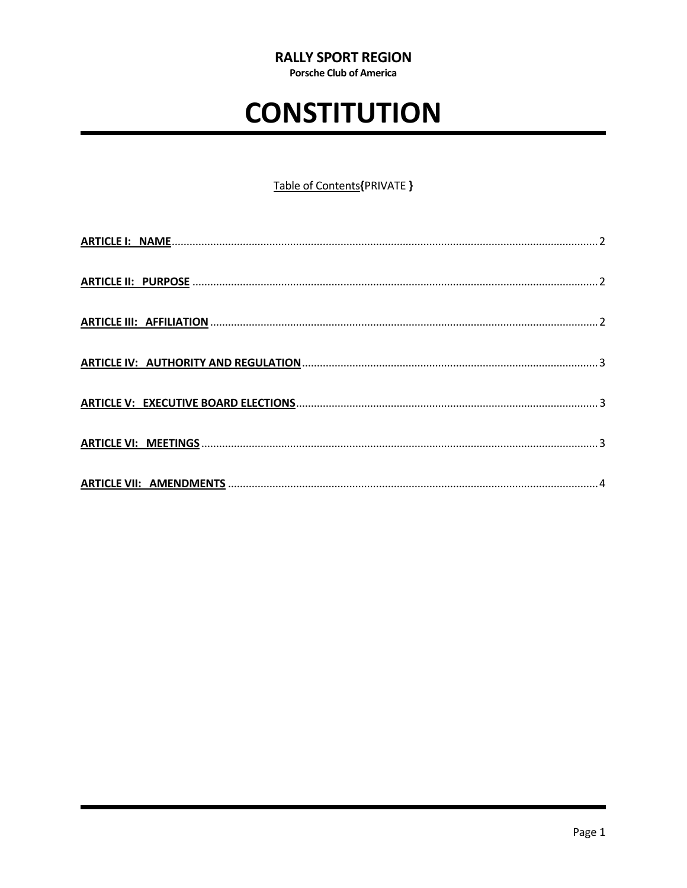**Porsche Club of America** 

# **CONSTITUTION**

#### Table of Contents{PRIVATE }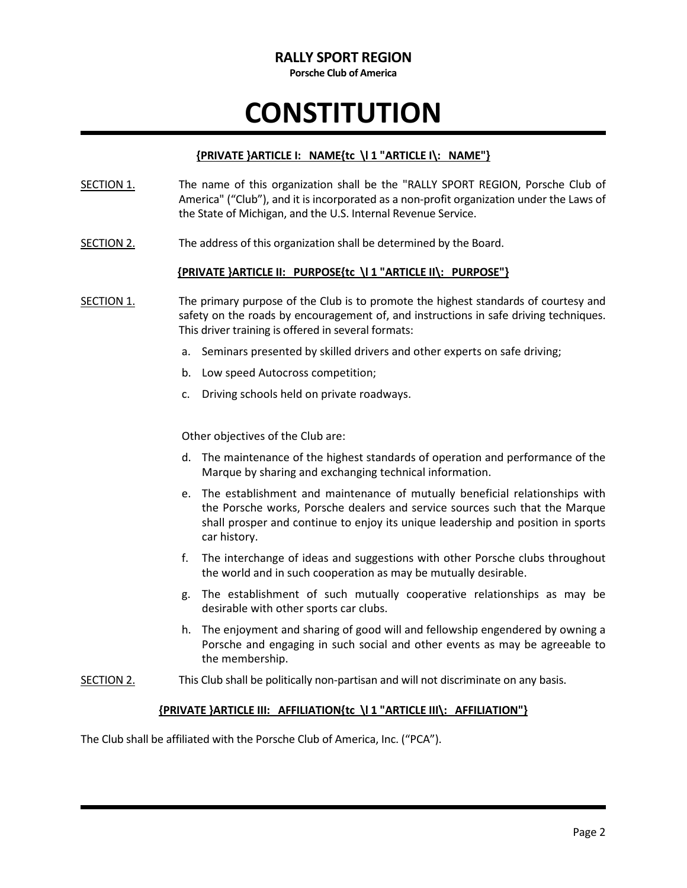Porsche Club of America

# **CONSTITUTION**

#### ${PRIVATE}$  }ARTICLE I: NAME ${tc}$  \l 1 "ARTICLE I\: NAME"}

- SECTION 1. The name of this organization shall be the "RALLY SPORT REGION, Porsche Club of America" ("Club"), and it is incorporated as a non-profit organization under the Laws of the State of Michigan, and the U.S. Internal Revenue Service.
- SECTION 2. The address of this organization shall be determined by the Board.

#### {PRIVATE }ARTICLE II: PURPOSE{tc \l 1 "ARTICLE II\: PURPOSE"}

- SECTION 1. The primary purpose of the Club is to promote the highest standards of courtesy and safety on the roads by encouragement of, and instructions in safe driving techniques. This driver training is offered in several formats:
	- a. Seminars presented by skilled drivers and other experts on safe driving;
	- b. Low speed Autocross competition;
	- c. Driving schools held on private roadways.

Other objectives of the Club are:

- d. The maintenance of the highest standards of operation and performance of the Marque by sharing and exchanging technical information.
- e. The establishment and maintenance of mutually beneficial relationships with the Porsche works, Porsche dealers and service sources such that the Marque shall prosper and continue to enjoy its unique leadership and position in sports car history.
- f. The interchange of ideas and suggestions with other Porsche clubs throughout the world and in such cooperation as may be mutually desirable.
- g. The establishment of such mutually cooperative relationships as may be desirable with other sports car clubs.
- h. The enjoyment and sharing of good will and fellowship engendered by owning a Porsche and engaging in such social and other events as may be agreeable to the membership.
- SECTION 2. This Club shall be politically non-partisan and will not discriminate on any basis.

#### {PRIVATE }ARTICLE III: AFFILIATION{tc \l 1 "ARTICLE III\: AFFILIATION"}

The Club shall be affiliated with the Porsche Club of America, Inc. ("PCA").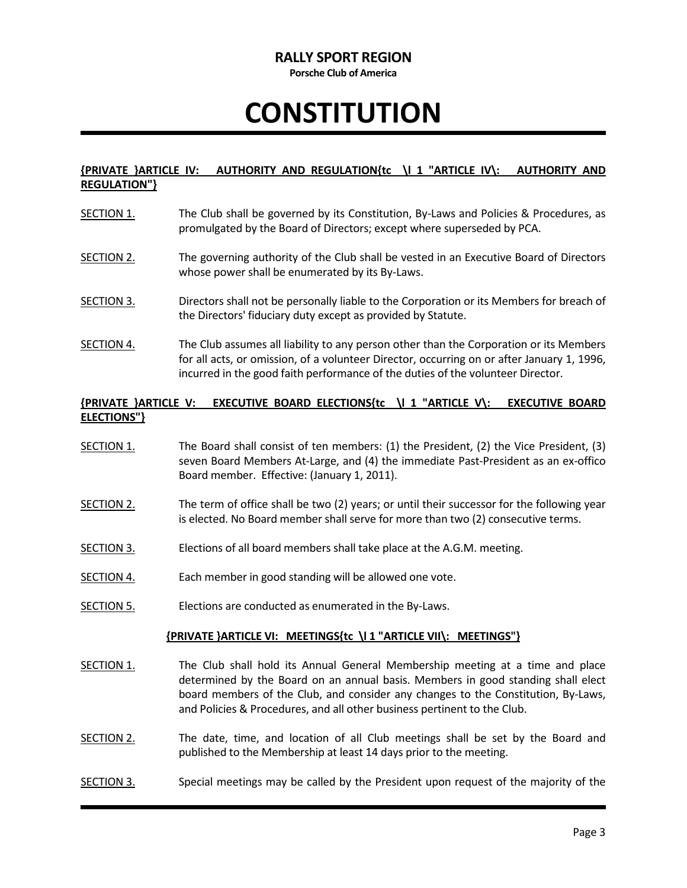Porsche Club of America

# **CONSTITUTION**

#### {PRIVATE }ARTICLE IV: AUTHORITY AND REGULATION{tc \l 1 "ARTICLE IV\: AUTHORITY AND REGULATION"}

- SECTION 1. The Club shall be governed by its Constitution, By-Laws and Policies & Procedures, as promulgated by the Board of Directors; except where superseded by PCA.
- SECTION 2. The governing authority of the Club shall be vested in an Executive Board of Directors whose power shall be enumerated by its By-Laws.
- SECTION 3. Directors shall not be personally liable to the Corporation or its Members for breach of the Directors' fiduciary duty except as provided by Statute.
- SECTION 4. The Club assumes all liability to any person other than the Corporation or its Members for all acts, or omission, of a volunteer Director, occurring on or after January 1, 1996, incurred in the good faith performance of the duties of the volunteer Director.

#### {PRIVATE }ARTICLE V: EXECUTIVE BOARD ELECTIONS{tc \l 1 "ARTICLE V\: EXECUTIVE BOARD ELECTIONS"}

- SECTION 1. The Board shall consist of ten members: (1) the President, (2) the Vice President, (3) seven Board Members At-Large, and (4) the immediate Past-President as an ex-offico Board member. Effective: (January 1, 2011).
- SECTION 2. The term of office shall be two (2) years; or until their successor for the following year is elected. No Board member shall serve for more than two (2) consecutive terms.
- SECTION 3. Elections of all board members shall take place at the A.G.M. meeting.
- SECTION 4. Each member in good standing will be allowed one vote.
- SECTION 5. Elections are conducted as enumerated in the By-Laws.

#### {PRIVATE }ARTICLE VI: MEETINGS{tc \l 1 "ARTICLE VII\: MEETINGS"}

- SECTION 1. The Club shall hold its Annual General Membership meeting at a time and place determined by the Board on an annual basis. Members in good standing shall elect board members of the Club, and consider any changes to the Constitution, By-Laws, and Policies & Procedures, and all other business pertinent to the Club.
- SECTION 2. The date, time, and location of all Club meetings shall be set by the Board and published to the Membership at least 14 days prior to the meeting.
- SECTION 3. Special meetings may be called by the President upon request of the majority of the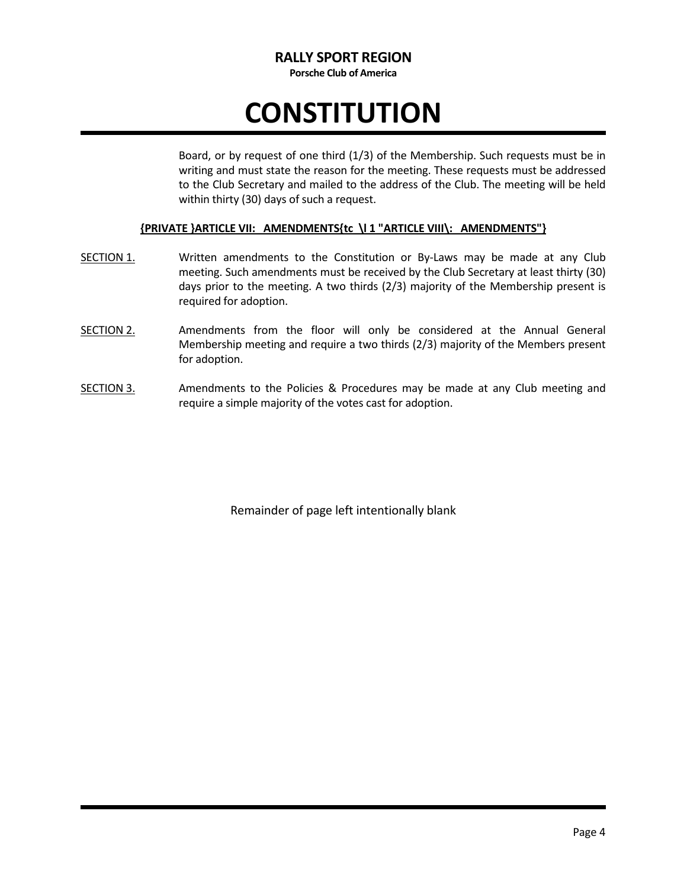Porsche Club of America

# **CONSTITUTION**

Board, or by request of one third (1/3) of the Membership. Such requests must be in writing and must state the reason for the meeting. These requests must be addressed to the Club Secretary and mailed to the address of the Club. The meeting will be held within thirty (30) days of such a request.

#### {PRIVATE }ARTICLE VII: AMENDMENTS{tc \l 1 "ARTICLE VIII\: AMENDMENTS"}

- SECTION 1. Written amendments to the Constitution or By-Laws may be made at any Club meeting. Such amendments must be received by the Club Secretary at least thirty (30) days prior to the meeting. A two thirds (2/3) majority of the Membership present is required for adoption.
- SECTION 2. Amendments from the floor will only be considered at the Annual General Membership meeting and require a two thirds (2/3) majority of the Members present for adoption.
- SECTION 3. Amendments to the Policies & Procedures may be made at any Club meeting and require a simple majority of the votes cast for adoption.

Remainder of page left intentionally blank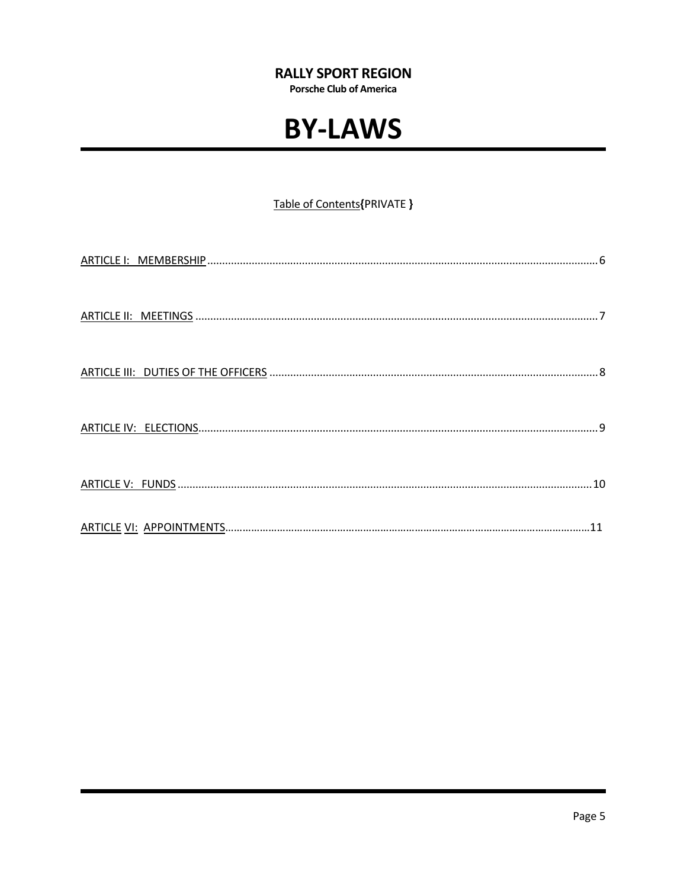**Porsche Club of America** 

### **BY-LAWS**

#### Table of Contents{PRIVATE }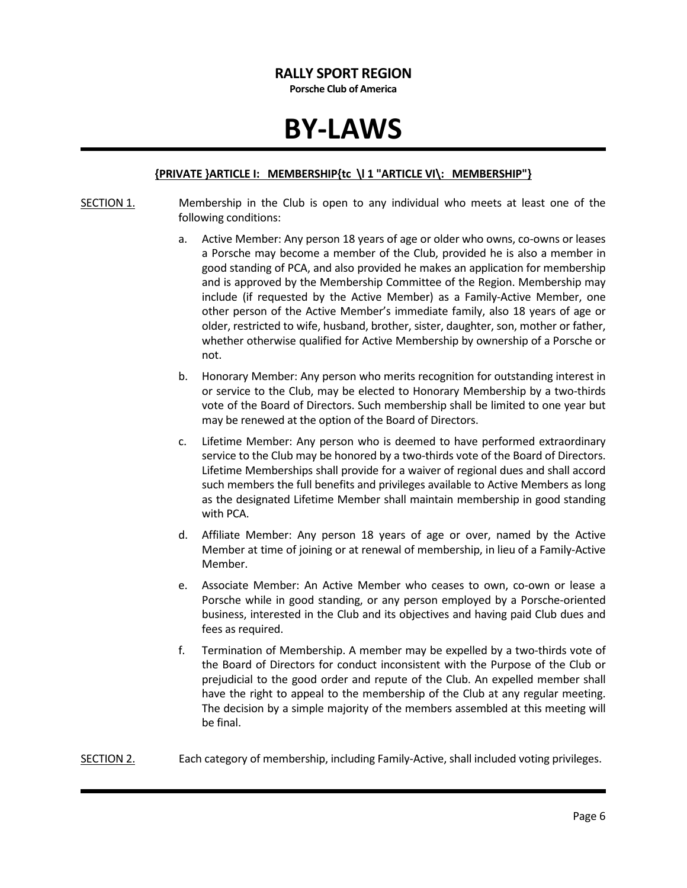Porsche Club of America

### BY-LAWS

#### {PRIVATE }ARTICLE I: MEMBERSHIP{tc \l 1 "ARTICLE VI\: MEMBERSHIP"}

- SECTION 1. Membership in the Club is open to any individual who meets at least one of the following conditions:
	- a. Active Member: Any person 18 years of age or older who owns, co-owns or leases a Porsche may become a member of the Club, provided he is also a member in good standing of PCA, and also provided he makes an application for membership and is approved by the Membership Committee of the Region. Membership may include (if requested by the Active Member) as a Family-Active Member, one other person of the Active Member's immediate family, also 18 years of age or older, restricted to wife, husband, brother, sister, daughter, son, mother or father, whether otherwise qualified for Active Membership by ownership of a Porsche or not.
	- b. Honorary Member: Any person who merits recognition for outstanding interest in or service to the Club, may be elected to Honorary Membership by a two-thirds vote of the Board of Directors. Such membership shall be limited to one year but may be renewed at the option of the Board of Directors.
	- c. Lifetime Member: Any person who is deemed to have performed extraordinary service to the Club may be honored by a two-thirds vote of the Board of Directors. Lifetime Memberships shall provide for a waiver of regional dues and shall accord such members the full benefits and privileges available to Active Members as long as the designated Lifetime Member shall maintain membership in good standing with PCA.
	- d. Affiliate Member: Any person 18 years of age or over, named by the Active Member at time of joining or at renewal of membership, in lieu of a Family-Active Member.
	- e. Associate Member: An Active Member who ceases to own, co-own or lease a Porsche while in good standing, or any person employed by a Porsche-oriented business, interested in the Club and its objectives and having paid Club dues and fees as required.
	- f. Termination of Membership. A member may be expelled by a two-thirds vote of the Board of Directors for conduct inconsistent with the Purpose of the Club or prejudicial to the good order and repute of the Club. An expelled member shall have the right to appeal to the membership of the Club at any regular meeting. The decision by a simple majority of the members assembled at this meeting will be final.
- SECTION 2. Each category of membership, including Family-Active, shall included voting privileges.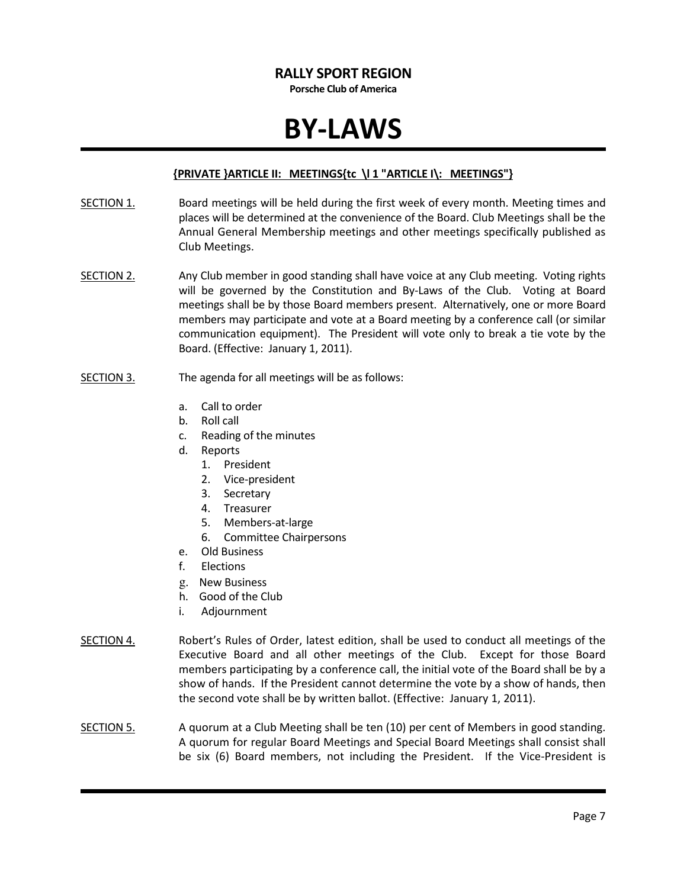Porsche Club of America

### BY-LAWS

#### {PRIVATE }ARTICLE II: MEETINGS{tc \l 1 "ARTICLE I\: MEETINGS"}

- SECTION 1. Board meetings will be held during the first week of every month. Meeting times and places will be determined at the convenience of the Board. Club Meetings shall be the Annual General Membership meetings and other meetings specifically published as Club Meetings.
- SECTION 2. Any Club member in good standing shall have voice at any Club meeting. Voting rights will be governed by the Constitution and By-Laws of the Club. Voting at Board meetings shall be by those Board members present. Alternatively, one or more Board members may participate and vote at a Board meeting by a conference call (or similar communication equipment). The President will vote only to break a tie vote by the Board. (Effective: January 1, 2011).
- SECTION 3. The agenda for all meetings will be as follows:
	- a. Call to order
	- b. Roll call
	- c. Reading of the minutes
	- d. Reports
		- 1. President
		- 2. Vice-president
		- 3. Secretary
		- 4. Treasurer
		- 5. Members-at-large
		- 6. Committee Chairpersons
	- e. Old Business
	- f. Elections
	- g. New Business
	- h. Good of the Club
	- i. Adjournment
- SECTION 4. Robert's Rules of Order, latest edition, shall be used to conduct all meetings of the Executive Board and all other meetings of the Club. Except for those Board members participating by a conference call, the initial vote of the Board shall be by a show of hands. If the President cannot determine the vote by a show of hands, then the second vote shall be by written ballot. (Effective: January 1, 2011).
- SECTION 5. A quorum at a Club Meeting shall be ten (10) per cent of Members in good standing. A quorum for regular Board Meetings and Special Board Meetings shall consist shall be six (6) Board members, not including the President. If the Vice-President is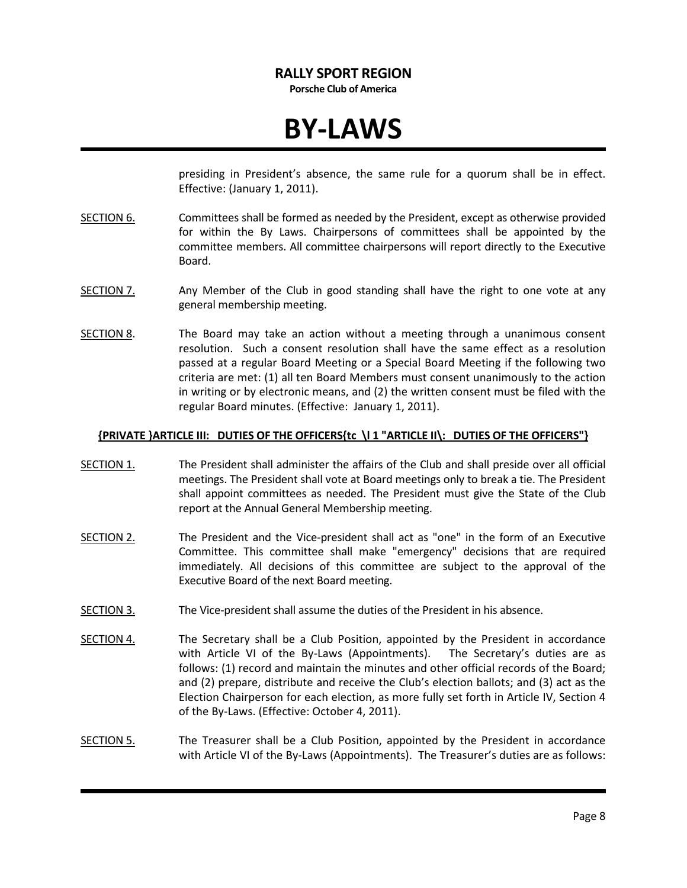Porsche Club of America

### BY-LAWS

presiding in President's absence, the same rule for a quorum shall be in effect. Effective: (January 1, 2011).

- SECTION 6. Committees shall be formed as needed by the President, except as otherwise provided for within the By Laws. Chairpersons of committees shall be appointed by the committee members. All committee chairpersons will report directly to the Executive Board.
- SECTION 7. Any Member of the Club in good standing shall have the right to one vote at any general membership meeting.
- SECTION 8. The Board may take an action without a meeting through a unanimous consent resolution. Such a consent resolution shall have the same effect as a resolution passed at a regular Board Meeting or a Special Board Meeting if the following two criteria are met: (1) all ten Board Members must consent unanimously to the action in writing or by electronic means, and (2) the written consent must be filed with the regular Board minutes. (Effective: January 1, 2011).

#### {PRIVATE }ARTICLE III: DUTIES OF THE OFFICERS{tc \l 1 "ARTICLE II\: DUTIES OF THE OFFICERS"}

- SECTION 1. The President shall administer the affairs of the Club and shall preside over all official meetings. The President shall vote at Board meetings only to break a tie. The President shall appoint committees as needed. The President must give the State of the Club report at the Annual General Membership meeting.
- SECTION 2. The President and the Vice-president shall act as "one" in the form of an Executive Committee. This committee shall make "emergency" decisions that are required immediately. All decisions of this committee are subject to the approval of the Executive Board of the next Board meeting.
- SECTION 3. The Vice-president shall assume the duties of the President in his absence.
- SECTION 4. The Secretary shall be a Club Position, appointed by the President in accordance with Article VI of the By-Laws (Appointments). The Secretary's duties are as follows: (1) record and maintain the minutes and other official records of the Board; and (2) prepare, distribute and receive the Club's election ballots; and (3) act as the Election Chairperson for each election, as more fully set forth in Article IV, Section 4 of the By-Laws. (Effective: October 4, 2011).
- SECTION 5. The Treasurer shall be a Club Position, appointed by the President in accordance with Article VI of the By-Laws (Appointments). The Treasurer's duties are as follows: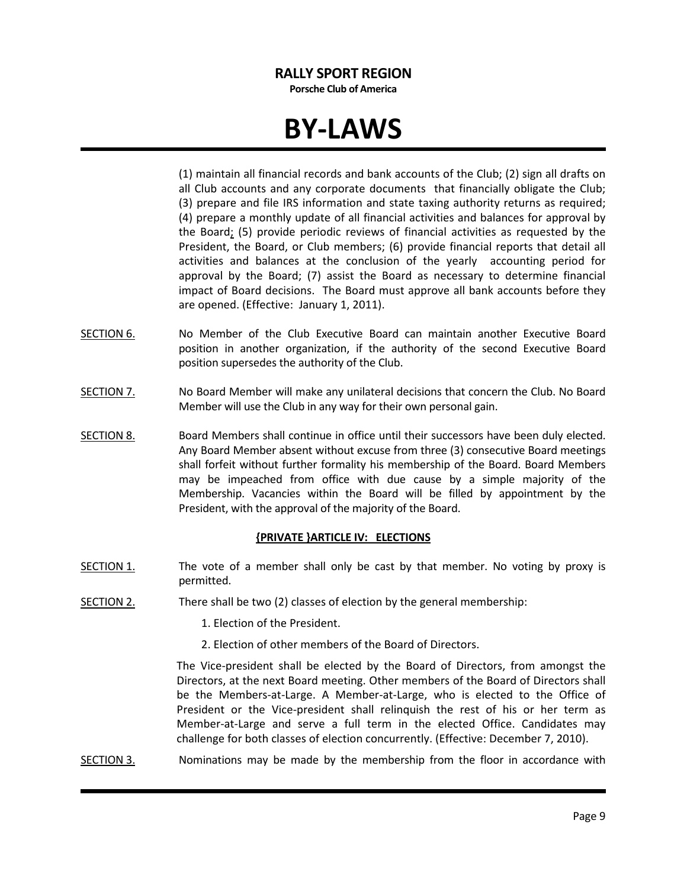Porsche Club of America

### BY-LAWS

(1) maintain all financial records and bank accounts of the Club; (2) sign all drafts on all Club accounts and any corporate documents that financially obligate the Club; (3) prepare and file IRS information and state taxing authority returns as required; (4) prepare a monthly update of all financial activities and balances for approval by the Board; (5) provide periodic reviews of financial activities as requested by the President, the Board, or Club members; (6) provide financial reports that detail all activities and balances at the conclusion of the yearly accounting period for approval by the Board; (7) assist the Board as necessary to determine financial impact of Board decisions. The Board must approve all bank accounts before they are opened. (Effective: January 1, 2011).

- SECTION 6. No Member of the Club Executive Board can maintain another Executive Board position in another organization, if the authority of the second Executive Board position supersedes the authority of the Club.
- SECTION 7. No Board Member will make any unilateral decisions that concern the Club. No Board Member will use the Club in any way for their own personal gain.
- SECTION 8. Board Members shall continue in office until their successors have been duly elected. Any Board Member absent without excuse from three (3) consecutive Board meetings shall forfeit without further formality his membership of the Board. Board Members may be impeached from office with due cause by a simple majority of the Membership. Vacancies within the Board will be filled by appointment by the President, with the approval of the majority of the Board.

#### {PRIVATE }ARTICLE IV: ELECTIONS

- SECTION 1. The vote of a member shall only be cast by that member. No voting by proxy is permitted.
- SECTION 2. There shall be two (2) classes of election by the general membership:
	- 1. Election of the President.
	- 2. Election of other members of the Board of Directors.

The Vice-president shall be elected by the Board of Directors, from amongst the Directors, at the next Board meeting. Other members of the Board of Directors shall be the Members-at-Large. A Member-at-Large, who is elected to the Office of President or the Vice-president shall relinquish the rest of his or her term as Member-at-Large and serve a full term in the elected Office. Candidates may challenge for both classes of election concurrently. (Effective: December 7, 2010).

SECTION 3. Nominations may be made by the membership from the floor in accordance with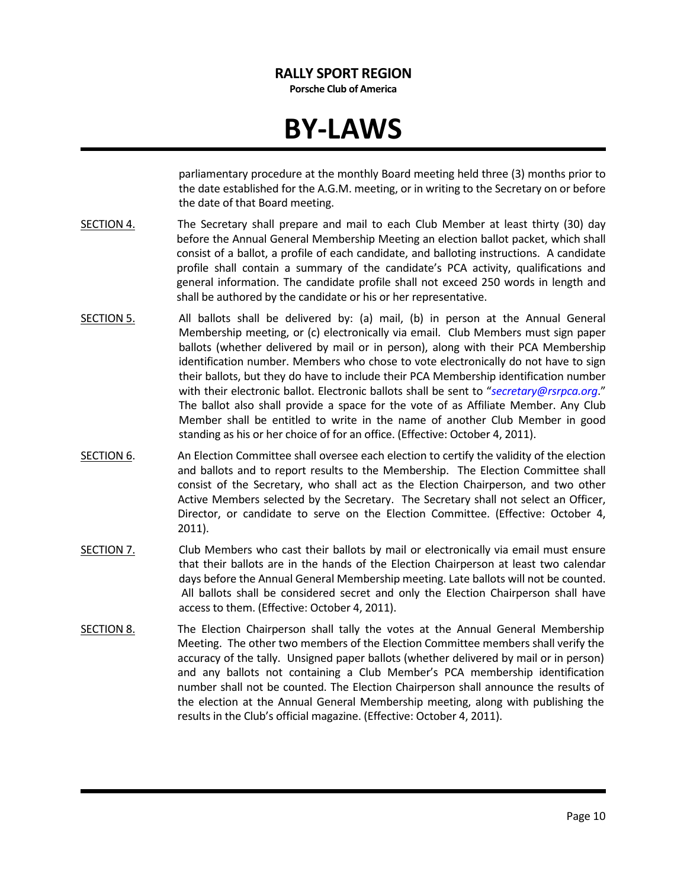Porsche Club of America

### BY-LAWS

parliamentary procedure at the monthly Board meeting held three (3) months prior to the date established for the A.G.M. meeting, or in writing to the Secretary on or before the date of that Board meeting.

- SECTION 4. The Secretary shall prepare and mail to each Club Member at least thirty (30) day before the Annual General Membership Meeting an election ballot packet, which shall consist of a ballot, a profile of each candidate, and balloting instructions. A candidate profile shall contain a summary of the candidate's PCA activity, qualifications and general information. The candidate profile shall not exceed 250 words in length and shall be authored by the candidate or his or her representative.
- SECTION 5. All ballots shall be delivered by: (a) mail, (b) in person at the Annual General Membership meeting, or (c) electronically via email. Club Members must sign paper ballots (whether delivered by mail or in person), along with their PCA Membership identification number. Members who chose to vote electronically do not have to sign their ballots, but they do have to include their PCA Membership identification number with their electronic ballot. Electronic ballots shall be sent to "secretary@rsrpca.org." The ballot also shall provide a space for the vote of as Affiliate Member. Any Club Member shall be entitled to write in the name of another Club Member in good standing as his or her choice of for an office. (Effective: October 4, 2011).
- SECTION 6. An Election Committee shall oversee each election to certify the validity of the election and ballots and to report results to the Membership. The Election Committee shall consist of the Secretary, who shall act as the Election Chairperson, and two other Active Members selected by the Secretary. The Secretary shall not select an Officer, Director, or candidate to serve on the Election Committee. (Effective: October 4, 2011).
- SECTION 7. Club Members who cast their ballots by mail or electronically via email must ensure that their ballots are in the hands of the Election Chairperson at least two calendar days before the Annual General Membership meeting. Late ballots will not be counted. All ballots shall be considered secret and only the Election Chairperson shall have access to them. (Effective: October 4, 2011).
- SECTION 8. The Election Chairperson shall tally the votes at the Annual General Membership Meeting. The other two members of the Election Committee members shall verify the accuracy of the tally. Unsigned paper ballots (whether delivered by mail or in person) and any ballots not containing a Club Member's PCA membership identification number shall not be counted. The Election Chairperson shall announce the results of the election at the Annual General Membership meeting, along with publishing the results in the Club's official magazine. (Effective: October 4, 2011).